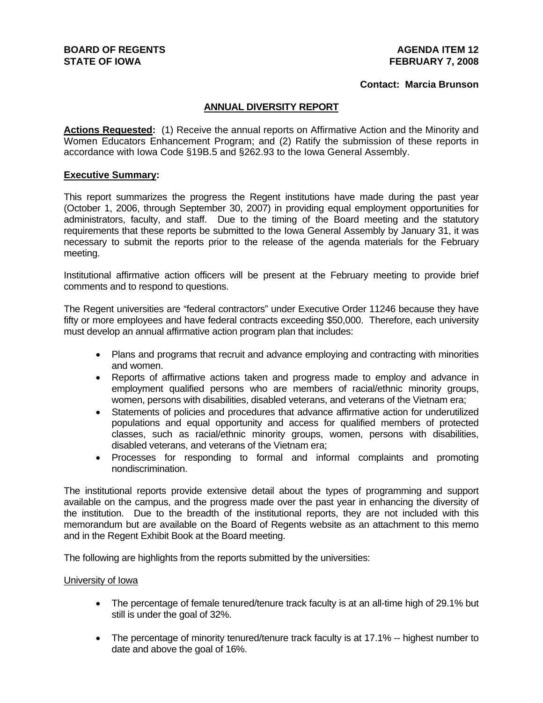#### **AGENDA ITEM 12 FEBRUARY 7, 2008**

## **Contact: Marcia Brunson**

## **ANNUAL DIVERSITY REPORT**

**Actions Requested:** (1) Receive the annual reports on Affirmative Action and the Minority and Women Educators Enhancement Program; and (2) Ratify the submission of these reports in accordance with Iowa Code §19B.5 and §262.93 to the Iowa General Assembly.

### **Executive Summary:**

This report summarizes the progress the Regent institutions have made during the past year (October 1, 2006, through September 30, 2007) in providing equal employment opportunities for administrators, faculty, and staff. Due to the timing of the Board meeting and the statutory requirements that these reports be submitted to the Iowa General Assembly by January 31, it was necessary to submit the reports prior to the release of the agenda materials for the February meeting.

Institutional affirmative action officers will be present at the February meeting to provide brief comments and to respond to questions.

The Regent universities are "federal contractors" under Executive Order 11246 because they have fifty or more employees and have federal contracts exceeding \$50,000. Therefore, each university must develop an annual affirmative action program plan that includes:

- Plans and programs that recruit and advance employing and contracting with minorities and women.
- Reports of affirmative actions taken and progress made to employ and advance in employment qualified persons who are members of racial/ethnic minority groups, women, persons with disabilities, disabled veterans, and veterans of the Vietnam era;
- Statements of policies and procedures that advance affirmative action for underutilized populations and equal opportunity and access for qualified members of protected classes, such as racial/ethnic minority groups, women, persons with disabilities, disabled veterans, and veterans of the Vietnam era;
- Processes for responding to formal and informal complaints and promoting nondiscrimination.

The institutional reports provide extensive detail about the types of programming and support available on the campus, and the progress made over the past year in enhancing the diversity of the institution. Due to the breadth of the institutional reports, they are not included with this memorandum but are available on the Board of Regents website as an attachment to this memo and in the Regent Exhibit Book at the Board meeting.

The following are highlights from the reports submitted by the universities:

#### University of Iowa

- The percentage of female tenured/tenure track faculty is at an all-time high of 29.1% but still is under the goal of 32%.
- The percentage of minority tenured/tenure track faculty is at 17.1% -- highest number to date and above the goal of 16%.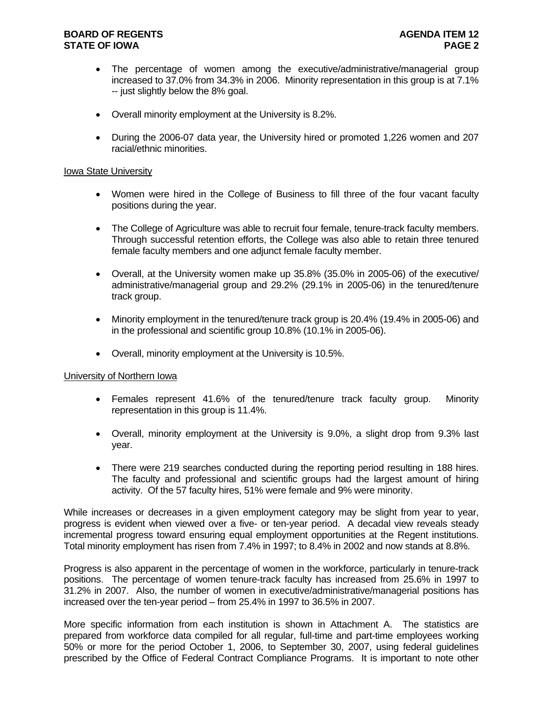# **BOARD OF REGENTS AGENUS AGENDA ITEM 12 STATE OF IOWA** PAGE 2

- The percentage of women among the executive/administrative/managerial group increased to 37.0% from 34.3% in 2006. Minority representation in this group is at 7.1% -- just slightly below the 8% goal.
- Overall minority employment at the University is 8.2%.
- During the 2006-07 data year, the University hired or promoted 1,226 women and 207 racial/ethnic minorities.

### Iowa State University

- Women were hired in the College of Business to fill three of the four vacant faculty positions during the year.
- The College of Agriculture was able to recruit four female, tenure-track faculty members. Through successful retention efforts, the College was also able to retain three tenured female faculty members and one adjunct female faculty member.
- Overall, at the University women make up 35.8% (35.0% in 2005-06) of the executive/ administrative/managerial group and 29.2% (29.1% in 2005-06) in the tenured/tenure track group.
- Minority employment in the tenured/tenure track group is 20.4% (19.4% in 2005-06) and in the professional and scientific group 10.8% (10.1% in 2005-06).
- Overall, minority employment at the University is 10.5%.

## University of Northern Iowa

- Females represent 41.6% of the tenured/tenure track faculty group. Minority representation in this group is 11.4%.
- Overall, minority employment at the University is 9.0%, a slight drop from 9.3% last year.
- There were 219 searches conducted during the reporting period resulting in 188 hires. The faculty and professional and scientific groups had the largest amount of hiring activity. Of the 57 faculty hires, 51% were female and 9% were minority.

While increases or decreases in a given employment category may be slight from year to year, progress is evident when viewed over a five- or ten-year period. A decadal view reveals steady incremental progress toward ensuring equal employment opportunities at the Regent institutions. Total minority employment has risen from 7.4% in 1997; to 8.4% in 2002 and now stands at 8.8%.

Progress is also apparent in the percentage of women in the workforce, particularly in tenure-track positions. The percentage of women tenure-track faculty has increased from 25.6% in 1997 to 31.2% in 2007. Also, the number of women in executive/administrative/managerial positions has increased over the ten-year period – from 25.4% in 1997 to 36.5% in 2007.

More specific information from each institution is shown in Attachment A. The statistics are prepared from workforce data compiled for all regular, full-time and part-time employees working 50% or more for the period October 1, 2006, to September 30, 2007, using federal guidelines prescribed by the Office of Federal Contract Compliance Programs. It is important to note other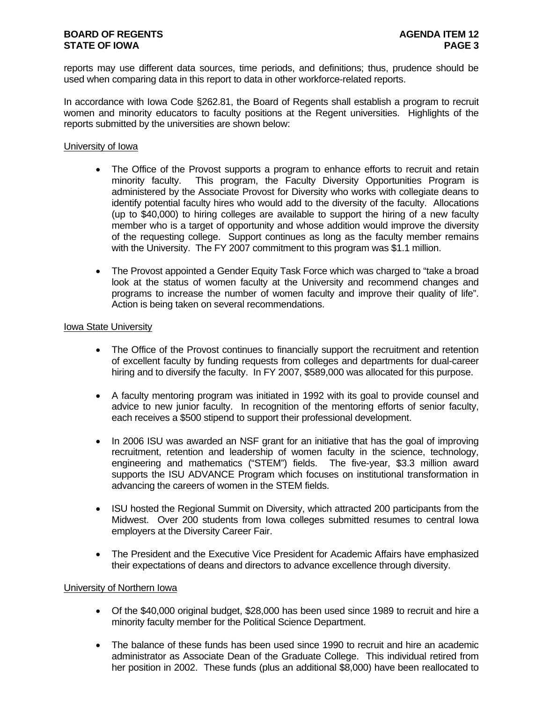# **BOARD OF REGENTS AGENUS AGENDA ITEM 12 STATE OF IOWA** PAGE 3

reports may use different data sources, time periods, and definitions; thus, prudence should be used when comparing data in this report to data in other workforce-related reports.

In accordance with Iowa Code §262.81, the Board of Regents shall establish a program to recruit women and minority educators to faculty positions at the Regent universities. Highlights of the reports submitted by the universities are shown below:

## University of Iowa

- The Office of the Provost supports a program to enhance efforts to recruit and retain minority faculty. This program, the Faculty Diversity Opportunities Program is administered by the Associate Provost for Diversity who works with collegiate deans to identify potential faculty hires who would add to the diversity of the faculty. Allocations (up to \$40,000) to hiring colleges are available to support the hiring of a new faculty member who is a target of opportunity and whose addition would improve the diversity of the requesting college. Support continues as long as the faculty member remains with the University. The FY 2007 commitment to this program was \$1.1 million.
- The Provost appointed a Gender Equity Task Force which was charged to "take a broad look at the status of women faculty at the University and recommend changes and programs to increase the number of women faculty and improve their quality of life". Action is being taken on several recommendations.

# Iowa State University

- The Office of the Provost continues to financially support the recruitment and retention of excellent faculty by funding requests from colleges and departments for dual-career hiring and to diversify the faculty. In FY 2007, \$589,000 was allocated for this purpose.
- A faculty mentoring program was initiated in 1992 with its goal to provide counsel and advice to new junior faculty. In recognition of the mentoring efforts of senior faculty, each receives a \$500 stipend to support their professional development.
- In 2006 ISU was awarded an NSF grant for an initiative that has the goal of improving recruitment, retention and leadership of women faculty in the science, technology, engineering and mathematics ("STEM") fields. The five-year, \$3.3 million award supports the ISU ADVANCE Program which focuses on institutional transformation in advancing the careers of women in the STEM fields.
- ISU hosted the Regional Summit on Diversity, which attracted 200 participants from the Midwest. Over 200 students from Iowa colleges submitted resumes to central Iowa employers at the Diversity Career Fair.
- The President and the Executive Vice President for Academic Affairs have emphasized their expectations of deans and directors to advance excellence through diversity.

#### University of Northern Iowa

- Of the \$40,000 original budget, \$28,000 has been used since 1989 to recruit and hire a minority faculty member for the Political Science Department.
- The balance of these funds has been used since 1990 to recruit and hire an academic administrator as Associate Dean of the Graduate College. This individual retired from her position in 2002. These funds (plus an additional \$8,000) have been reallocated to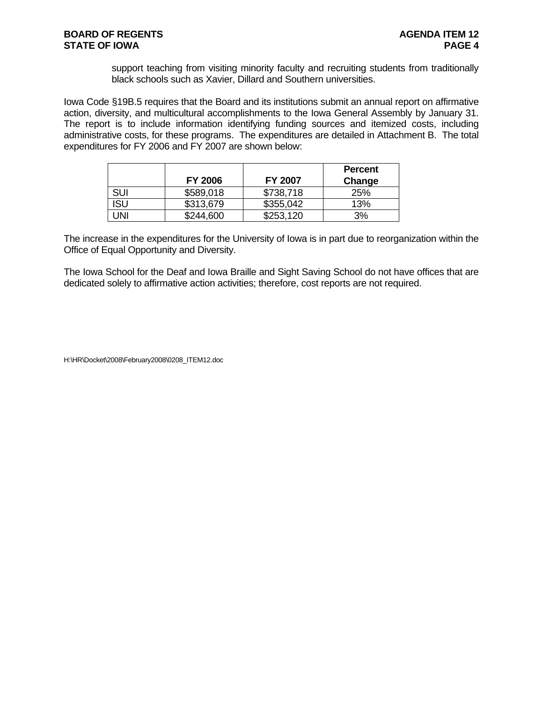support teaching from visiting minority faculty and recruiting students from traditionally black schools such as Xavier, Dillard and Southern universities.

Iowa Code §19B.5 requires that the Board and its institutions submit an annual report on affirmative action, diversity, and multicultural accomplishments to the Iowa General Assembly by January 31. The report is to include information identifying funding sources and itemized costs, including administrative costs, for these programs. The expenditures are detailed in Attachment B. The total expenditures for FY 2006 and FY 2007 are shown below:

|     |                |                | Percent |
|-----|----------------|----------------|---------|
|     | <b>FY 2006</b> | <b>FY 2007</b> | Change  |
| SUI | \$589,018      | \$738,718      | 25%     |
| ISU | \$313,679      | \$355,042      | 13%     |
| JNI | \$244,600      | \$253,120      | 3%      |

The increase in the expenditures for the University of Iowa is in part due to reorganization within the Office of Equal Opportunity and Diversity.

The Iowa School for the Deaf and Iowa Braille and Sight Saving School do not have offices that are dedicated solely to affirmative action activities; therefore, cost reports are not required.

H:\HR\Docket\2008\February2008\0208\_ITEM12.doc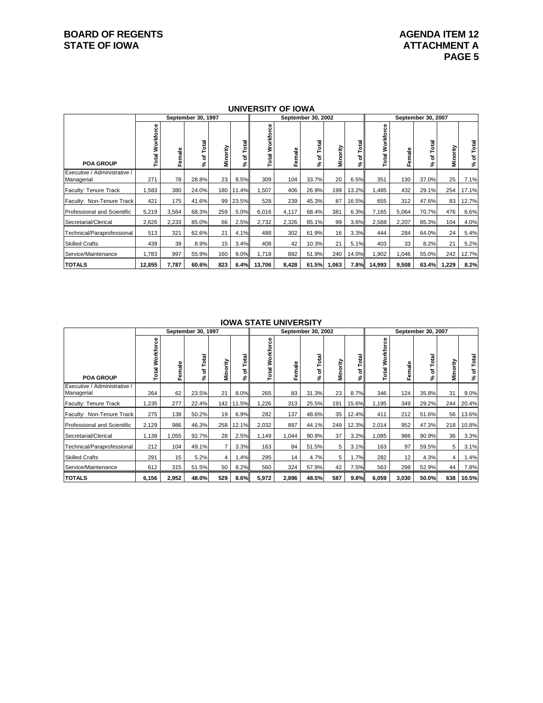# **BOARD OF REGENTS AGENDA ITEM 12**<br> **BOARD OF IOWA**<br> **BOARD OF IOWA**<br> **ATTACHMENT A**

|                                            |                        |        | September 30, 1997 |          |                  |                                             | סייט וט ווטגום אוויט | September 30, 2002 |          |                 | September 30, 2007               |        |                 |          |                  |  |  |
|--------------------------------------------|------------------------|--------|--------------------|----------|------------------|---------------------------------------------|----------------------|--------------------|----------|-----------------|----------------------------------|--------|-----------------|----------|------------------|--|--|
|                                            |                        |        |                    |          |                  |                                             |                      |                    |          |                 |                                  |        |                 |          |                  |  |  |
| <b>POA GROUP</b>                           | <b>Total Workforce</b> | Female | Total<br>৳<br>వి   | Minority | Total<br>৳<br>వ్ | Φ<br>ē<br>Workfo<br>$\overline{\mathbf{a}}$ | Female               | Total<br>৳<br>వి   | Minority | otal<br>৳<br>వ్ | Workforce<br>$\overline{a}$<br>⊢ | Female | Total<br>৳<br>چ | Minority | Total<br>৳<br>వి |  |  |
| Executive / Administrative /<br>Managerial | 271                    | 78     | 28.8%              | 23       | 8.5%             | 309                                         | 104                  | 33.7%              | 20       | 6.5%            | 351                              | 130    | 37.0%           | 25       | 7.1%             |  |  |
| Faculty: Tenure Track                      | 1,583                  | 380    | 24.0%              | 180      | 11.4%            | 1,507                                       | 406                  | 26.9%              | 199      | 13.2%           | 1,485                            | 432    | 29.1%           | 254      | 17.1%            |  |  |
| Faculty: Non-Tenure Track                  | 421                    | 175    | 41.6%              | 99       | 23.5%            | 528                                         | 239                  | 45.3%              | 87       | 16.5%           | 655                              | 312    | 47.6%           | 83       | 12.7%            |  |  |
| <b>Professional and Scientific</b>         | 5,219                  | 3,564  | 68.3%              | 259      | 5.0%             | 6,016                                       | 4,117                | 68.4%              | 381      | 6.3%            | 7,165                            | 5,064  | 70.7%           | 476      | 6.6%             |  |  |
| Secretarial/Clerical                       | 2,626                  | 2,233  | 85.0%              | 66       | 2.5%             | 2,732                                       | 2,326                | 85.1%              | 99       | 3.6%            | 2,588                            | 2,207  | 85.3%           | 104      | 4.0%             |  |  |
| Technical/Paraprofessional                 | 513                    | 321    | 62.6%              | 21       | 4.1%             | 488                                         | 302                  | 61.9%              | 16       | 3.3%            | 444                              | 284    | 64.0%           | 24       | 5.4%             |  |  |
| <b>Skilled Crafts</b>                      | 439                    | 39     | 8.9%               | 15       | 3.4%             | 408                                         | 42                   | 10.3%              | 21       | 5.1%            | 403                              | 33     | 8.2%            | 21       | 5.2%             |  |  |
| Service/Maintenance                        | 1,783                  | 997    | 55.9%              | 160      | 9.0%             | 1,718                                       | 892                  | 51.9%              | 240      | 14.0%           | 1,902                            | 1,046  | 55.0%           | 242      | 12.7%            |  |  |
| <b>TOTALS</b>                              | 12,855                 | 7,787  | 60.6%              | 823      | 6.4%             | 13.706                                      | 8,428                | 61.5%              | 1,063    | 7.8%            | 14,993                           | 9.508  | 63.4%           | 1.229    | 8.2%             |  |  |

## **UNIVERSITY OF IOWA**

## **IOWA STATE UNIVERSITY**

|                                            |                        |        | September 30, 1997   |                |                  |                       |        | September 30, 2002 | September 30, 2007 |           |                    |        |                  |                |                  |
|--------------------------------------------|------------------------|--------|----------------------|----------------|------------------|-----------------------|--------|--------------------|--------------------|-----------|--------------------|--------|------------------|----------------|------------------|
| <b>POA GROUP</b>                           | <b>Total Workforce</b> | Female | otal<br>⊢<br>৳<br>వి | Minority       | Total<br>ኄ<br>వి | 8<br>Workfor<br>Total | Female | Total<br>৳         | Minority           | ptal<br>ኄ | Workforce<br>Total | Female | Total<br>৳<br>వి | Minority       | Total<br>৳<br>వి |
| Executive / Administrative /<br>Managerial | 264                    | 62     | 23.5%                | 21             | 8.0%             | 265                   | 83     | 31.3%              | 23                 | 8.7%      | 346                | 124    | 35.8%            | 31             | 9.0%             |
| Faculty: Tenure Track                      | 1,235                  | 277    | 22.4%                |                | 142 11.5%        | 1,226                 | 313    | 25.5%              | 191                | 15.6%     | 1,195              | 349    | 29.2%            | 244            | 20.4%            |
| Faculty: Non-Tenure Track                  | 275                    | 138    | 50.2%                | 19             | 6.9%             | 282                   | 137    | 48.6%              | 35                 | 12.4%     | 411                | 212    | 51.6%            | 56             | 13.6%            |
| <b>Professional and Scientific</b>         | 2,129                  | 986    | 46.3%                | 258            | 12.1%            | 2,032                 | 897    | 44.1%              | 249                | 12.3%     | 2,014              | 952    | 47.3%            | 218            | 10.8%            |
| Secretarial/Clerical                       | 1,138                  | 1,055  | 92.7%                | 28             | 2.5%             | 1,149                 | 1,044  | 90.9%              | 37                 | 3.2%      | 1,085              | 986    | 90.9%            | 36             | 3.3%             |
| Technical/Paraprofessional                 | 212                    | 104    | 49.1%                |                | 3.3%             | 163                   | 84     | 51.5%              | 5                  | 3.1%      | 163                | 97     | 59.5%            | 5              | 3.1%             |
| <b>Skilled Crafts</b>                      | 291                    | 15     | 5.2%                 | 4 <sup>1</sup> | 1.4%             | 295                   | 14     | 4.7%               | 5                  | 1.7%      | 282                | 12     | 4.3%             | $\overline{4}$ | 1.4%             |
| Service/Maintenance                        | 612                    | 315    | 51.5%                | 50             | 8.2%             | 560                   | 324    | 57.9%              | 42                 | 7.5%      | 563                | 298    | 52.9%            | 44             | 7.8%             |
| <b>TOTALS</b>                              | 6,156                  | 2,952  | 48.0%                | 529            | 8.6%             | 5,972                 | 2,896  | 48.5%              | 587                | 9.8%      | 6,059              | 3,030  | 50.0%            | 638            | 10.5%            |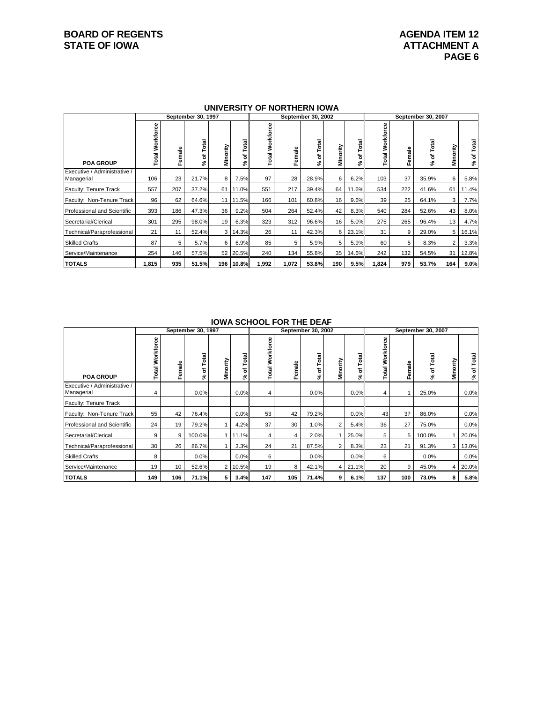# **BOARD OF REGENTS AGENDA ITEM 12**<br> **BOARD OF IOWA**<br> **BOARD OF IOWA**<br> **ATTACHMENT A**

|                                            |                           |            | September 30, 1997 |                |                 |                          |             | September 30, 2002 |                 |                | September 30, 2007 |        |               |                |                |  |  |
|--------------------------------------------|---------------------------|------------|--------------------|----------------|-----------------|--------------------------|-------------|--------------------|-----------------|----------------|--------------------|--------|---------------|----------------|----------------|--|--|
| <b>POA GROUP</b>                           | Workforce<br><b>Total</b> | ale<br>Fem | তা মু<br>۴<br>৳    | Minority       | otal<br>ㅎ<br>వి | 8<br>ā<br>Workf<br>Total | ឹ<br>≆<br>م | Total<br>৳<br>వి   | Minority        | otal<br>⊢<br>ቴ | Workforce<br>Total | Female | of Total<br>چ | Minority       | of Total<br>వి |  |  |
| Executive / Administrative /<br>Managerial | 106                       | 23         | 21.7%              | 8              | 7.5%            | 97                       | 28          | 28.9%              | 6               | 6.2%           | 103                | 37     | 35.9%         | 6              | 5.8%           |  |  |
| Faculty: Tenure Track                      | 557                       | 207        | 37.2%              | 61 I           | 11.0%           | 551                      | 217         | 39.4%              | 64              | 11.6%          | 534                | 222    | 41.6%         | 61             | 11.4%          |  |  |
| Faculty: Non-Tenure Track                  | 96                        | 62         | 64.6%              |                | 11 11.5%        | 166                      | 101         | 60.8%              | 16 <sup>1</sup> | 9.6%           | 39                 | 25     | 64.1%         | 3              | 7.7%           |  |  |
| Professional and Scientific                | 393                       | 186        | 47.3%              | 36             | 9.2%            | 504                      | 264         | 52.4%              | 42              | 8.3%           | 540                | 284    | 52.6%         | 43             | 8.0%           |  |  |
| Secretarial/Clerical                       | 301                       | 295        | 98.0%              | 19             | 6.3%            | 323                      | 312         | 96.6%              | 16              | 5.0%           | 275                | 265    | 96.4%         | 13             | 4.7%           |  |  |
| Technical/Paraprofessional                 | 21                        | 11         | 52.4%              | 3 <sup>1</sup> | 14.3%           | 26                       | 11          | 42.3%              | 6               | 23.1%          | 31                 | 9      | 29.0%         | 5              | 16.1%          |  |  |
| <b>Skilled Crafts</b>                      | 87                        | 5          | 5.7%               | 6              | 6.9%            | 85                       | 5           | 5.9%               | 5               | 5.9%           | 60                 | 5      | 8.3%          | $\overline{2}$ | 3.3%           |  |  |
| Service/Maintenance                        | 254                       | 146        | 57.5%              |                | 52 20.5%        | 240                      | 134         | 55.8%              | 35              | 14.6%          | 242                | 132    | 54.5%         | 31             | 12.8%          |  |  |
| <b>TOTALS</b>                              | 1,815                     | 935        | 51.5%              | 196            | 10.8%           | 1,992                    | 1,072       | 53.8%              | 190             | 9.5%           | 1,824              | 979    | 53.7%         | 164            | 9.0%           |  |  |

### **UNIVERSITY OF NORTHERN IOWA**

#### **IOWA SCHOOL FOR THE DEAF**

|                                            |                 |              | September 30, 1997 |            |                  |                        |        | September 30, 2002 | September 30, 2007 |                  |                        |        |                  |                |                  |
|--------------------------------------------|-----------------|--------------|--------------------|------------|------------------|------------------------|--------|--------------------|--------------------|------------------|------------------------|--------|------------------|----------------|------------------|
| <b>POA GROUP</b>                           | Total Workforce | emale<br>LE. | Total<br>৳<br>వి   | ority<br>Š | Total<br>৳<br>వి | Workforce<br>otal<br>⊢ | Female | Total<br>৳<br>వి   | Minority           | Total<br>৳<br>వ్ | Workforce<br>otal<br>⊢ | Female | Total<br>৳<br>వి | Minority       | Total<br>৳<br>వి |
| Executive / Administrative /<br>Managerial | 4               |              | 0.0%               |            | 0.0%             | 4                      |        | 0.0%               |                    | 0.0%             | 4                      |        | 25.0%            |                | 0.0%             |
| Faculty: Tenure Track                      |                 |              |                    |            |                  |                        |        |                    |                    |                  |                        |        |                  |                |                  |
| Faculty: Non-Tenure Track                  | 55              | 42           | 76.4%              |            | 0.0%             | 53                     | 42     | 79.2%              |                    | 0.0%             | 43 <sub>l</sub>        | 37     | 86.0%            |                | 0.0%             |
| Professional and Scientific                | 24              | 19           | 79.2%              |            | 4.2%             | 37                     | 30     | 1.0%               | 2                  | 5.4%             | 36                     | 27     | 75.0%            |                | 0.0%             |
| Secretarial/Clerical                       | 9               | 9            | 100.0%             |            | 11.1%            | 4                      | 4      | 2.0%               |                    | 25.0%            | 5                      | 5      | 100.0%           |                | 20.0%            |
| Technical/Paraprofessional                 | 30              | 26           | 86.7%              |            | 3.3%             | 24                     | 21     | 87.5%              | 2                  | 8.3%             | 23                     | 21     | 91.3%            | 3 <sup>1</sup> | 13.0%            |
| <b>Skilled Crafts</b>                      | 8               |              | 0.0%               |            | 0.0%             | 6                      |        | 0.0%               |                    | 0.0%             | 6                      |        | 0.0%             |                | 0.0%             |
| Service/Maintenance                        | 19              | 10           | 52.6%              |            | 2 10.5%          | 19                     | 8      | 42.1%              | 4 <sup>1</sup>     | 21.1%            | 20                     | 9      | 45.0%            | 4              | 20.0%            |
| <b>TOTALS</b>                              | 149             | 106          | 71.1%              | 5          | 3.4%             | 147                    | 105    | 71.4%              | 9                  | 6.1%             | 137                    | 100    | 73.0%            | 8              | 5.8%             |